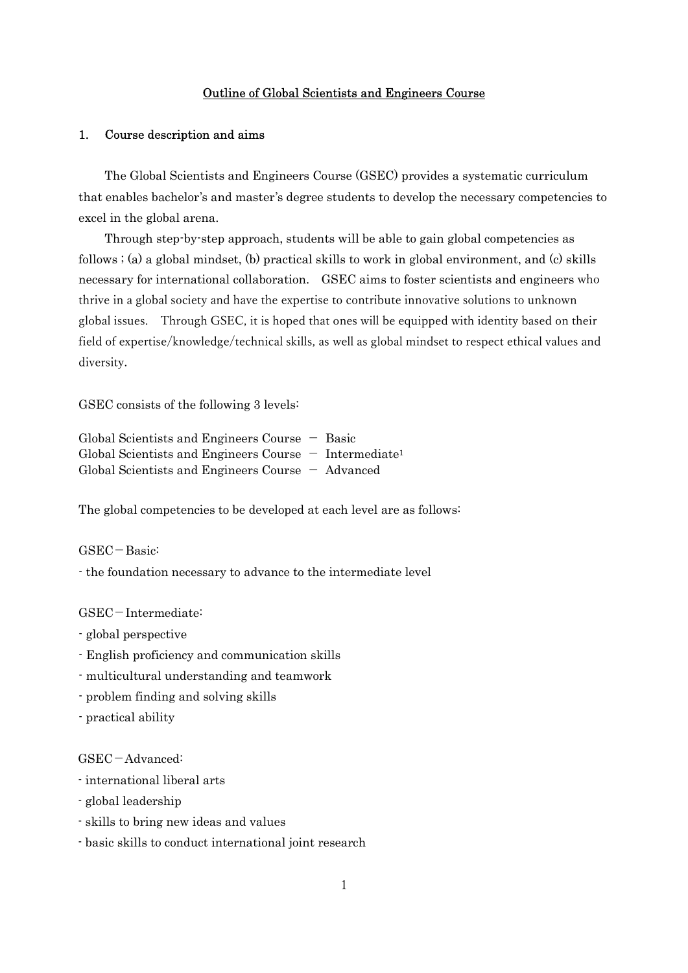## Outline of Global Scientists and Engineers Course

## 1. Course description and aims

The Global Scientists and Engineers Course (GSEC) provides a systematic curriculum that enables bachelor's and master's degree students to develop the necessary competencies to excel in the global arena.

Through step-by-step approach, students will be able to gain global competencies as follows ; (a) a global mindset, (b) practical skills to work in global environment, and (c) skills necessary for international collaboration. GSEC aims to foster scientists and engineers who thrive in a global society and have the expertise to contribute innovative solutions to unknown global issues. Through GSEC, it is hoped that ones will be equipped with identity based on their field of expertise/knowledge/technical skills, as well as global mindset to respect ethical values and diversity.

GSEC consists of the following 3 levels:

|  | Global Scientists and Engineers Course $-$ Basic    |  |                                                                      |
|--|-----------------------------------------------------|--|----------------------------------------------------------------------|
|  |                                                     |  | Global Scientists and Engineers Course $-$ Intermediate <sup>1</sup> |
|  | Global Scientists and Engineers Course $-$ Advanced |  |                                                                      |

The global competencies to be developed at each level are as follows:

 $GSEC - Basic:$ 

- the foundation necessary to advance to the intermediate level

GSEC-Intermediate:

- global perspective
- English proficiency and communication skills
- multicultural understanding and teamwork
- problem finding and solving skills

- practical ability

 $GSEC-Advanced:$ 

- international liberal arts
- global leadership
- skills to bring new ideas and values
- basic skills to conduct international joint research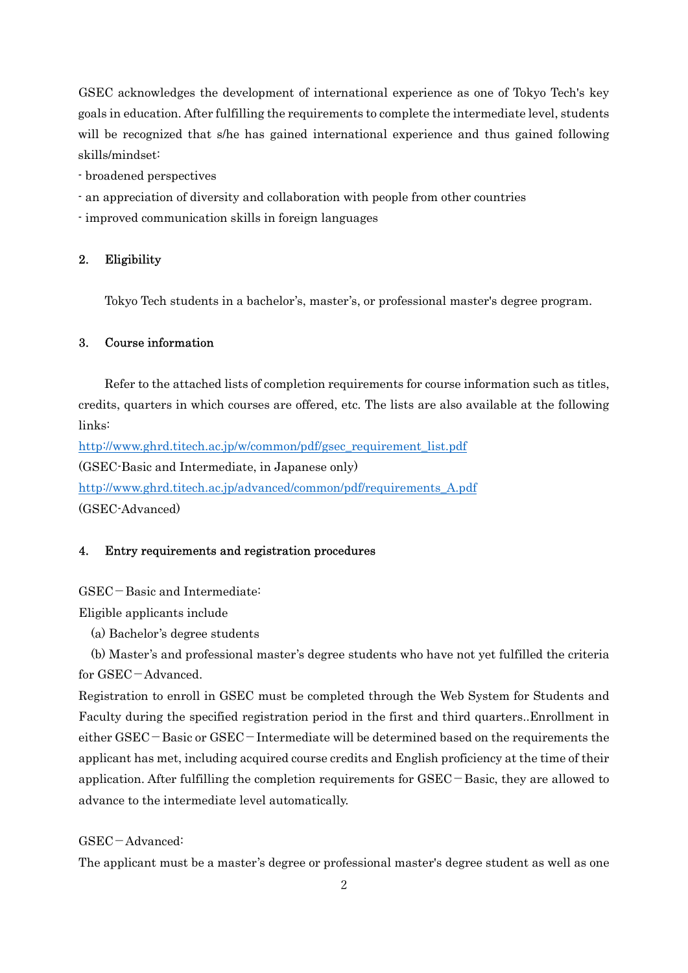GSEC acknowledges the development of international experience as one of Tokyo Tech's key goals in education. After fulfilling the requirements to complete the intermediate level, students will be recognized that s/he has gained international experience and thus gained following skills/mindset:

- broadened perspectives
- an appreciation of diversity and collaboration with people from other countries
- improved communication skills in foreign languages

## 2. Eligibility

Tokyo Tech students in a bachelor's, master's, or professional master's degree program.

## 3. Course information

Refer to the attached lists of completion requirements for course information such as titles, credits, quarters in which courses are offered, etc. The lists are also available at the following links:

http://www.ghrd.titech.ac.jp/w/common/pdf/gsec\_requirement\_list.pdf (GSEC-Basic and Intermediate, in Japanese only) http://www.ghrd.titech.ac.jp/advanced/common/pdf/requirements\_A.pdf (GSEC-Advanced)

### 4. Entry requirements and registration procedures

 $GSEC-Basic and Intermediate:$ 

Eligible applicants include

(a) Bachelor's degree students

(b) Master's and professional master's degree students who have not yet fulfilled the criteria for  $GSEC - Advanced$ .

Registration to enroll in GSEC must be completed through the Web System for Students and Faculty during the specified registration period in the first and third quarters..Enrollment in either  $GSEC - Basic$  or  $GSEC - Intermediate will be determined based on the requirements the$ applicant has met, including acquired course credits and English proficiency at the time of their application. After fulfilling the completion requirements for  $GSEC - Basic$ , they are allowed to advance to the intermediate level automatically.

## GSEC-Advanced:

The applicant must be a master's degree or professional master's degree student as well as one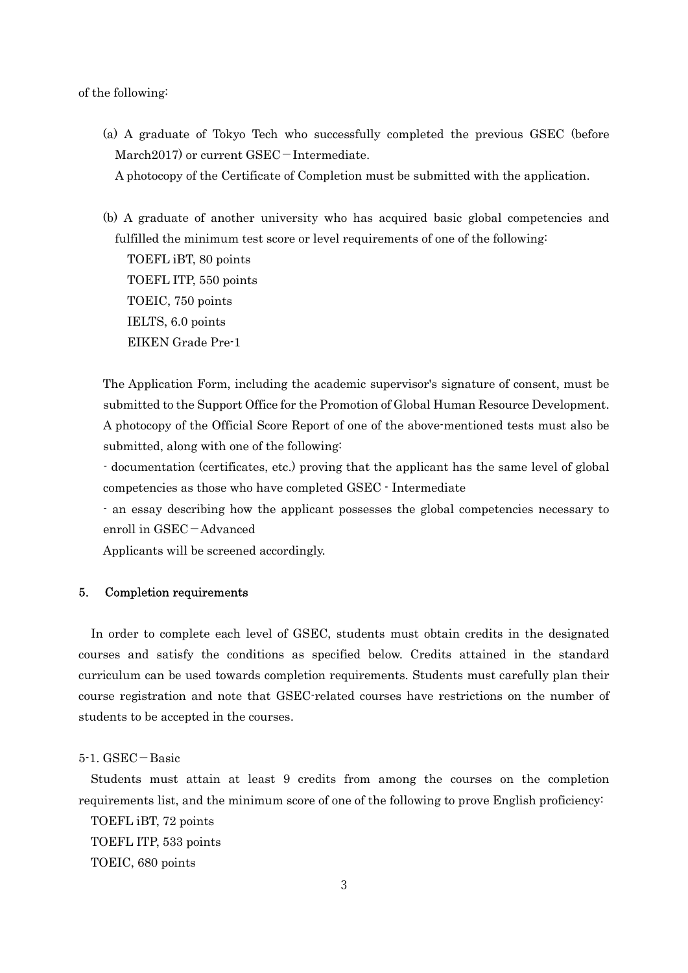#### of the following:

(a) A graduate of Tokyo Tech who successfully completed the previous GSEC (before March2017) or current  $GSEC-Intermediate.$ 

A photocopy of the Certificate of Completion must be submitted with the application.

(b) A graduate of another university who has acquired basic global competencies and fulfilled the minimum test score or level requirements of one of the following: TOEFL iBT, 80 points TOEFL ITP, 550 points TOEIC, 750 points IELTS, 6.0 points EIKEN Grade Pre-1

 The Application Form, including the academic supervisor's signature of consent, must be submitted to the Support Office for the Promotion of Global Human Resource Development. A photocopy of the Official Score Report of one of the above-mentioned tests must also be submitted, along with one of the following:

- documentation (certificates, etc.) proving that the applicant has the same level of global competencies as those who have completed GSEC - Intermediate

- an essay describing how the applicant possesses the global competencies necessary to enroll in GSEC-Advanced

Applicants will be screened accordingly.

## 5. Completion requirements

In order to complete each level of GSEC, students must obtain credits in the designated courses and satisfy the conditions as specified below. Credits attained in the standard curriculum can be used towards completion requirements. Students must carefully plan their course registration and note that GSEC-related courses have restrictions on the number of students to be accepted in the courses.

#### $5-1.$  GSEC  $-$  Basic

Students must attain at least 9 credits from among the courses on the completion requirements list, and the minimum score of one of the following to prove English proficiency:

 TOEFL iBT, 72 points TOEFL ITP, 533 points

TOEIC, 680 points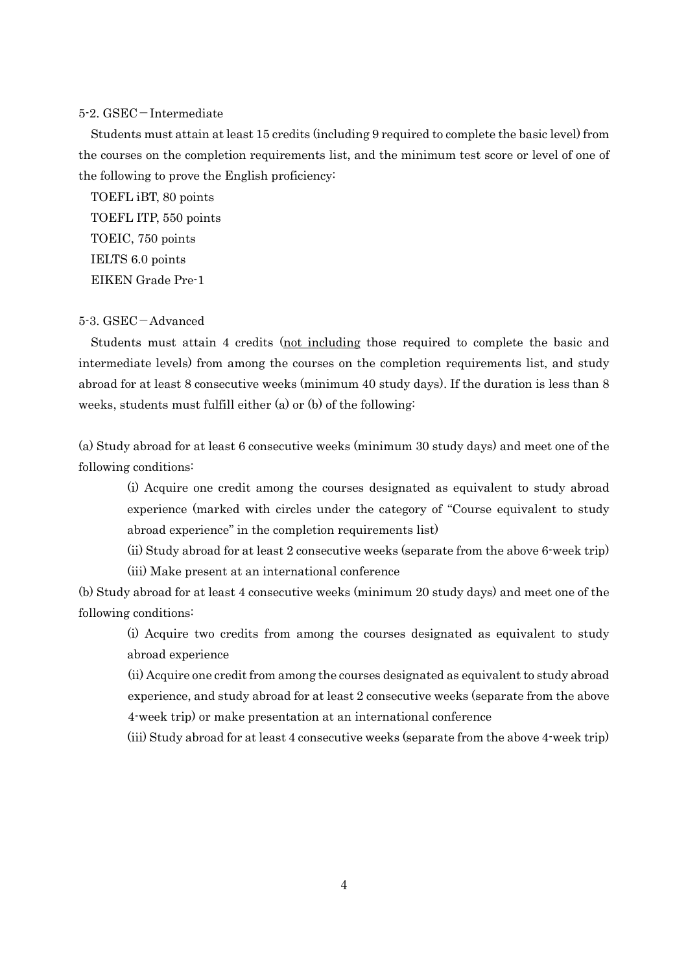#### $5-2.$  GSEC – Intermediate

Students must attain at least 15 credits (including 9 required to complete the basic level) from the courses on the completion requirements list, and the minimum test score or level of one of the following to prove the English proficiency:

 TOEFL iBT, 80 points TOEFL ITP, 550 points TOEIC, 750 points IELTS 6.0 points EIKEN Grade Pre-1

## 5-3. GSEC-Advanced

Students must attain 4 credits (not including those required to complete the basic and intermediate levels) from among the courses on the completion requirements list, and study abroad for at least 8 consecutive weeks (minimum 40 study days). If the duration is less than 8 weeks, students must fulfill either (a) or (b) of the following:

(a) Study abroad for at least 6 consecutive weeks (minimum 30 study days) and meet one of the following conditions:

(i) Acquire one credit among the courses designated as equivalent to study abroad experience (marked with circles under the category of "Course equivalent to study abroad experience" in the completion requirements list)

(ii) Study abroad for at least 2 consecutive weeks (separate from the above 6-week trip) (iii) Make present at an international conference

(b) Study abroad for at least 4 consecutive weeks (minimum 20 study days) and meet one of the following conditions:

(i) Acquire two credits from among the courses designated as equivalent to study abroad experience

(ii) Acquire one credit from among the courses designated as equivalent to study abroad experience, and study abroad for at least 2 consecutive weeks (separate from the above 4-week trip) or make presentation at an international conference

(iii) Study abroad for at least 4 consecutive weeks (separate from the above 4-week trip)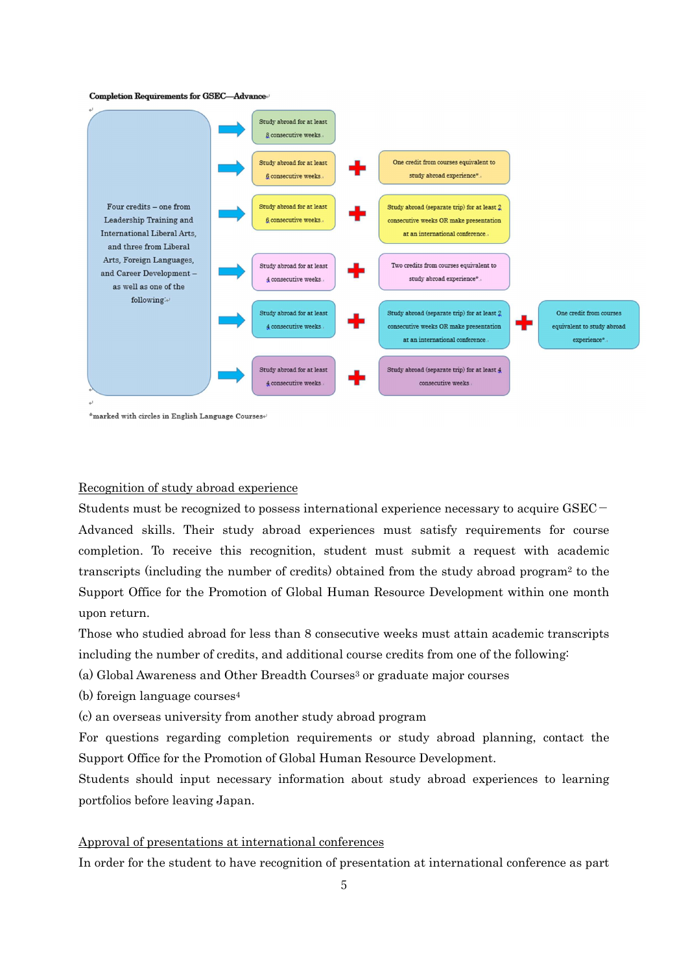#### Completion Requirements for GSEC-Advance



\*marked with circles in English Language Courses+

#### Recognition of study abroad experience

Students must be recognized to possess international experience necessary to acquire  $GSEC -$ Advanced skills. Their study abroad experiences must satisfy requirements for course completion. To receive this recognition, student must submit a request with academic transcripts (including the number of credits) obtained from the study abroad program2 to the Support Office for the Promotion of Global Human Resource Development within one month upon return.

Those who studied abroad for less than 8 consecutive weeks must attain academic transcripts including the number of credits, and additional course credits from one of the following:

(a) Global Awareness and Other Breadth Courses<sup>3</sup> or graduate major courses

(b) foreign language courses<sup>4</sup>

(c) an overseas university from another study abroad program

For questions regarding completion requirements or study abroad planning, contact the Support Office for the Promotion of Global Human Resource Development.

Students should input necessary information about study abroad experiences to learning portfolios before leaving Japan.

#### Approval of presentations at international conferences

In order for the student to have recognition of presentation at international conference as part